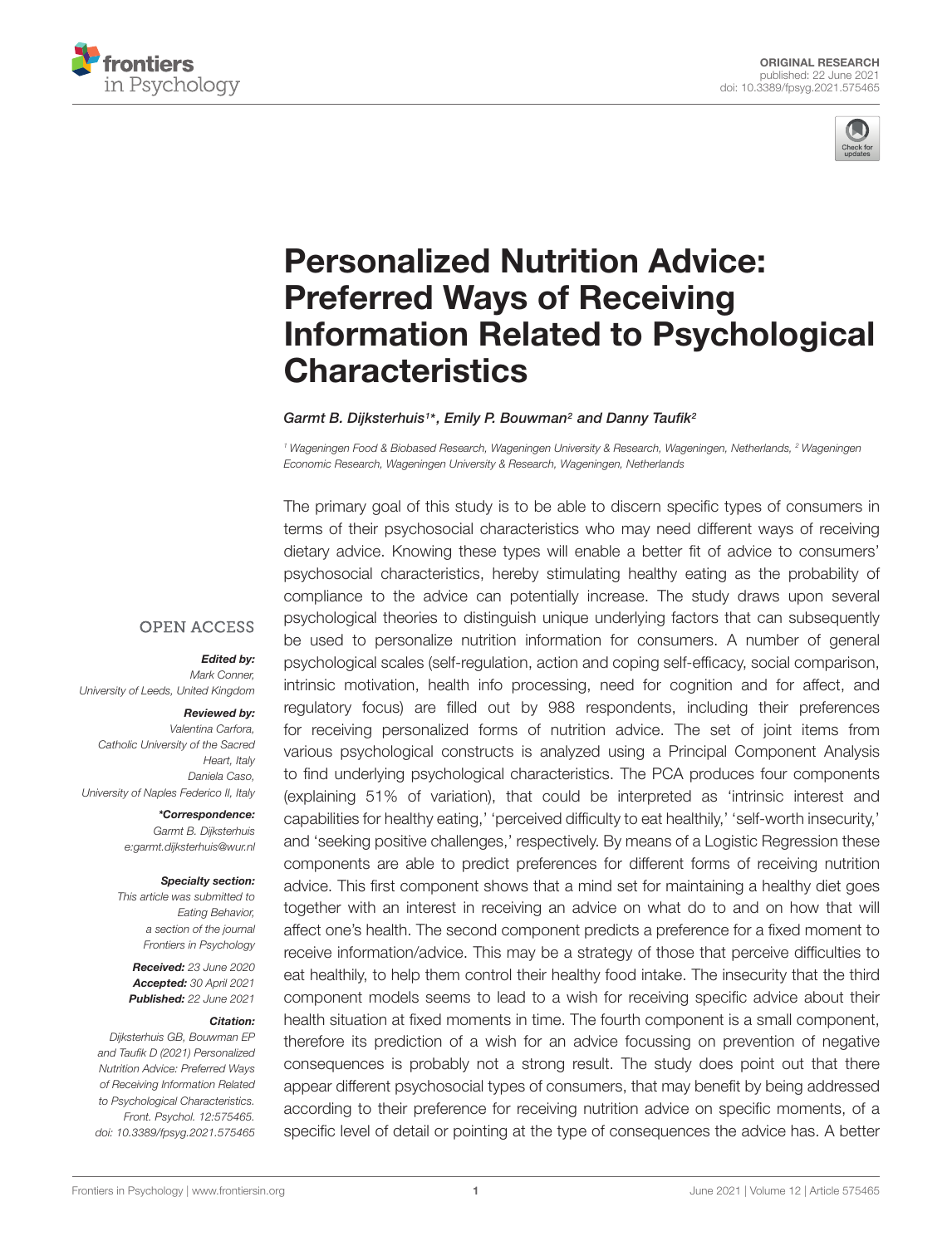



# Personalized Nutrition Advice: Preferred Ways of Receiving [Information Related to Psychological](https://www.frontiersin.org/articles/10.3389/fpsyg.2021.575465/full) **Characteristics**

Garmt B. Dijksterhuis1\*, Emily P. Bouwman<sup>2</sup> and Danny Taufik<sup>2</sup>

<sup>1</sup> Wageningen Food & Biobased Research, Wageningen University & Research, Wageningen, Netherlands, <sup>2</sup> Wageningen Economic Research, Wageningen University & Research, Wageningen, Netherlands

**OPEN ACCESS** 

Edited by:

Mark Conner, University of Leeds, United Kingdom

#### Reviewed by:

Valentina Carfora, Catholic University of the Sacred Heart, Italy Daniela Caso, University of Naples Federico II, Italy

> \*Correspondence: Garmt B. Dijksterhuis e:garmt.dijksterhuis@wur.nl

### Specialty section:

This article was submitted to Eating Behavior, a section of the journal Frontiers in Psychology

Received: 23 June 2020 Accepted: 30 April 2021 Published: 22 June 2021

#### Citation:

Dijksterhuis GB, Bouwman EP and Taufik D (2021) Personalized Nutrition Advice: Preferred Ways of Receiving Information Related to Psychological Characteristics. Front. Psychol. 12:575465. doi: [10.3389/fpsyg.2021.575465](https://doi.org/10.3389/fpsyg.2021.575465) The primary goal of this study is to be able to discern specific types of consumers in terms of their psychosocial characteristics who may need different ways of receiving dietary advice. Knowing these types will enable a better fit of advice to consumers' psychosocial characteristics, hereby stimulating healthy eating as the probability of compliance to the advice can potentially increase. The study draws upon several psychological theories to distinguish unique underlying factors that can subsequently be used to personalize nutrition information for consumers. A number of general psychological scales (self-regulation, action and coping self-efficacy, social comparison, intrinsic motivation, health info processing, need for cognition and for affect, and regulatory focus) are filled out by 988 respondents, including their preferences for receiving personalized forms of nutrition advice. The set of joint items from various psychological constructs is analyzed using a Principal Component Analysis to find underlying psychological characteristics. The PCA produces four components (explaining 51% of variation), that could be interpreted as 'intrinsic interest and capabilities for healthy eating,' 'perceived difficulty to eat healthily,' 'self-worth insecurity,' and 'seeking positive challenges,' respectively. By means of a Logistic Regression these components are able to predict preferences for different forms of receiving nutrition advice. This first component shows that a mind set for maintaining a healthy diet goes together with an interest in receiving an advice on what do to and on how that will affect one's health. The second component predicts a preference for a fixed moment to receive information/advice. This may be a strategy of those that perceive difficulties to eat healthily, to help them control their healthy food intake. The insecurity that the third component models seems to lead to a wish for receiving specific advice about their health situation at fixed moments in time. The fourth component is a small component, therefore its prediction of a wish for an advice focussing on prevention of negative consequences is probably not a strong result. The study does point out that there appear different psychosocial types of consumers, that may benefit by being addressed according to their preference for receiving nutrition advice on specific moments, of a specific level of detail or pointing at the type of consequences the advice has. A better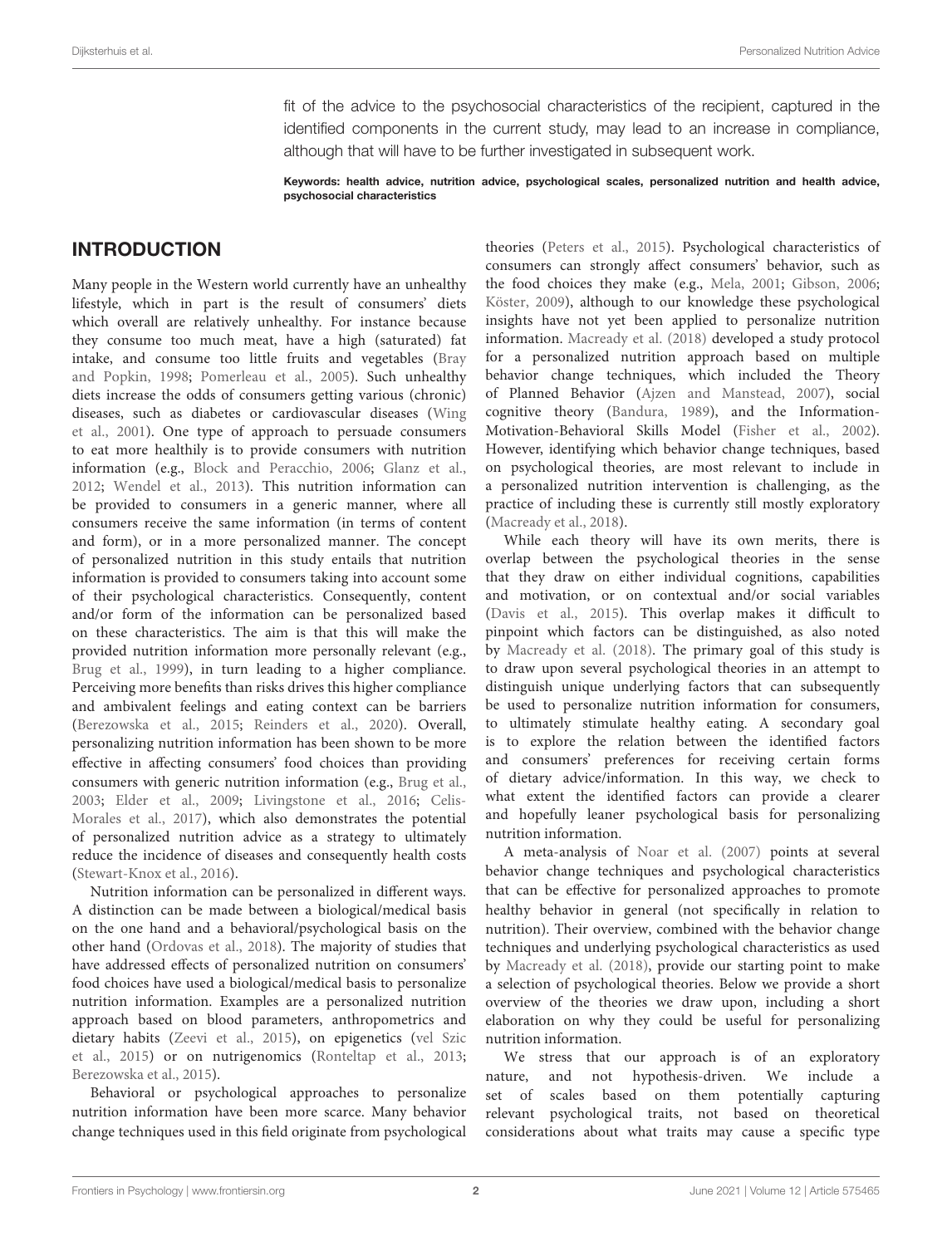fit of the advice to the psychosocial characteristics of the recipient, captured in the identified components in the current study, may lead to an increase in compliance, although that will have to be further investigated in subsequent work.

Keywords: health advice, nutrition advice, psychological scales, personalized nutrition and health advice, psychosocial characteristics

# INTRODUCTION

Many people in the Western world currently have an unhealthy lifestyle, which in part is the result of consumers' diets which overall are relatively unhealthy. For instance because they consume too much meat, have a high (saturated) fat intake, and consume too little fruits and vegetables [\(Bray](#page-10-0) [and Popkin,](#page-10-0) [1998;](#page-10-0) [Pomerleau et al.,](#page-11-0) [2005\)](#page-11-0). Such unhealthy diets increase the odds of consumers getting various (chronic) diseases, such as diabetes or cardiovascular diseases [\(Wing](#page-11-1) [et al.,](#page-11-1) [2001\)](#page-11-1). One type of approach to persuade consumers to eat more healthily is to provide consumers with nutrition information (e.g., [Block and Peracchio,](#page-10-1) [2006;](#page-10-1) [Glanz et al.,](#page-10-2) [2012;](#page-10-2) [Wendel et al.,](#page-11-2) [2013\)](#page-11-2). This nutrition information can be provided to consumers in a generic manner, where all consumers receive the same information (in terms of content and form), or in a more personalized manner. The concept of personalized nutrition in this study entails that nutrition information is provided to consumers taking into account some of their psychological characteristics. Consequently, content and/or form of the information can be personalized based on these characteristics. The aim is that this will make the provided nutrition information more personally relevant (e.g., [Brug et al.,](#page-10-3) [1999\)](#page-10-3), in turn leading to a higher compliance. Perceiving more benefits than risks drives this higher compliance and ambivalent feelings and eating context can be barriers [\(Berezowska et al.,](#page-10-4) [2015;](#page-10-4) [Reinders et al.,](#page-11-3) [2020\)](#page-11-3). Overall, personalizing nutrition information has been shown to be more effective in affecting consumers' food choices than providing consumers with generic nutrition information (e.g., [Brug et al.,](#page-10-5) [2003;](#page-10-5) [Elder et al.,](#page-10-6) [2009;](#page-10-6) [Livingstone et al.,](#page-10-7) [2016;](#page-10-7) [Celis-](#page-10-8)[Morales et al.,](#page-10-8) [2017\)](#page-10-8), which also demonstrates the potential of personalized nutrition advice as a strategy to ultimately reduce the incidence of diseases and consequently health costs [\(Stewart-Knox et al.,](#page-11-4) [2016\)](#page-11-4).

Nutrition information can be personalized in different ways. A distinction can be made between a biological/medical basis on the one hand and a behavioral/psychological basis on the other hand [\(Ordovas et al.,](#page-11-5) [2018\)](#page-11-5). The majority of studies that have addressed effects of personalized nutrition on consumers' food choices have used a biological/medical basis to personalize nutrition information. Examples are a personalized nutrition approach based on blood parameters, anthropometrics and dietary habits [\(Zeevi et al.,](#page-11-6) [2015\)](#page-11-6), on epigenetics [\(vel Szic](#page-11-7) [et al.,](#page-11-7) [2015\)](#page-11-7) or on nutrigenomics [\(Ronteltap et al.,](#page-11-8) [2013;](#page-11-8) [Berezowska et al.,](#page-10-4) [2015\)](#page-10-4).

Behavioral or psychological approaches to personalize nutrition information have been more scarce. Many behavior change techniques used in this field originate from psychological

theories [\(Peters et al.,](#page-11-9) [2015\)](#page-11-9). Psychological characteristics of consumers can strongly affect consumers' behavior, such as the food choices they make (e.g., [Mela,](#page-11-10) [2001;](#page-11-10) [Gibson,](#page-10-9) [2006;](#page-10-9) [Köster,](#page-10-10) [2009\)](#page-10-10), although to our knowledge these psychological insights have not yet been applied to personalize nutrition information. [Macready et al.](#page-11-11) [\(2018\)](#page-11-11) developed a study protocol for a personalized nutrition approach based on multiple behavior change techniques, which included the Theory of Planned Behavior [\(Ajzen and Manstead,](#page-10-11) [2007\)](#page-10-11), social cognitive theory [\(Bandura,](#page-10-12) [1989\)](#page-10-12), and the Information-Motivation-Behavioral Skills Model [\(Fisher et al.,](#page-10-13) [2002\)](#page-10-13). However, identifying which behavior change techniques, based on psychological theories, are most relevant to include in a personalized nutrition intervention is challenging, as the practice of including these is currently still mostly exploratory [\(Macready et al.,](#page-11-11) [2018\)](#page-11-11).

While each theory will have its own merits, there is overlap between the psychological theories in the sense that they draw on either individual cognitions, capabilities and motivation, or on contextual and/or social variables [\(Davis et al.,](#page-10-14) [2015\)](#page-10-14). This overlap makes it difficult to pinpoint which factors can be distinguished, as also noted by [Macready et al.](#page-11-11) [\(2018\)](#page-11-11). The primary goal of this study is to draw upon several psychological theories in an attempt to distinguish unique underlying factors that can subsequently be used to personalize nutrition information for consumers, to ultimately stimulate healthy eating. A secondary goal is to explore the relation between the identified factors and consumers' preferences for receiving certain forms of dietary advice/information. In this way, we check to what extent the identified factors can provide a clearer and hopefully leaner psychological basis for personalizing nutrition information.

A meta-analysis of [Noar et al.](#page-11-12) [\(2007\)](#page-11-12) points at several behavior change techniques and psychological characteristics that can be effective for personalized approaches to promote healthy behavior in general (not specifically in relation to nutrition). Their overview, combined with the behavior change techniques and underlying psychological characteristics as used by [Macready et al.](#page-11-11) [\(2018\)](#page-11-11), provide our starting point to make a selection of psychological theories. Below we provide a short overview of the theories we draw upon, including a short elaboration on why they could be useful for personalizing nutrition information.

We stress that our approach is of an exploratory nature, and not hypothesis-driven. We include a set of scales based on them potentially capturing relevant psychological traits, not based on theoretical considerations about what traits may cause a specific type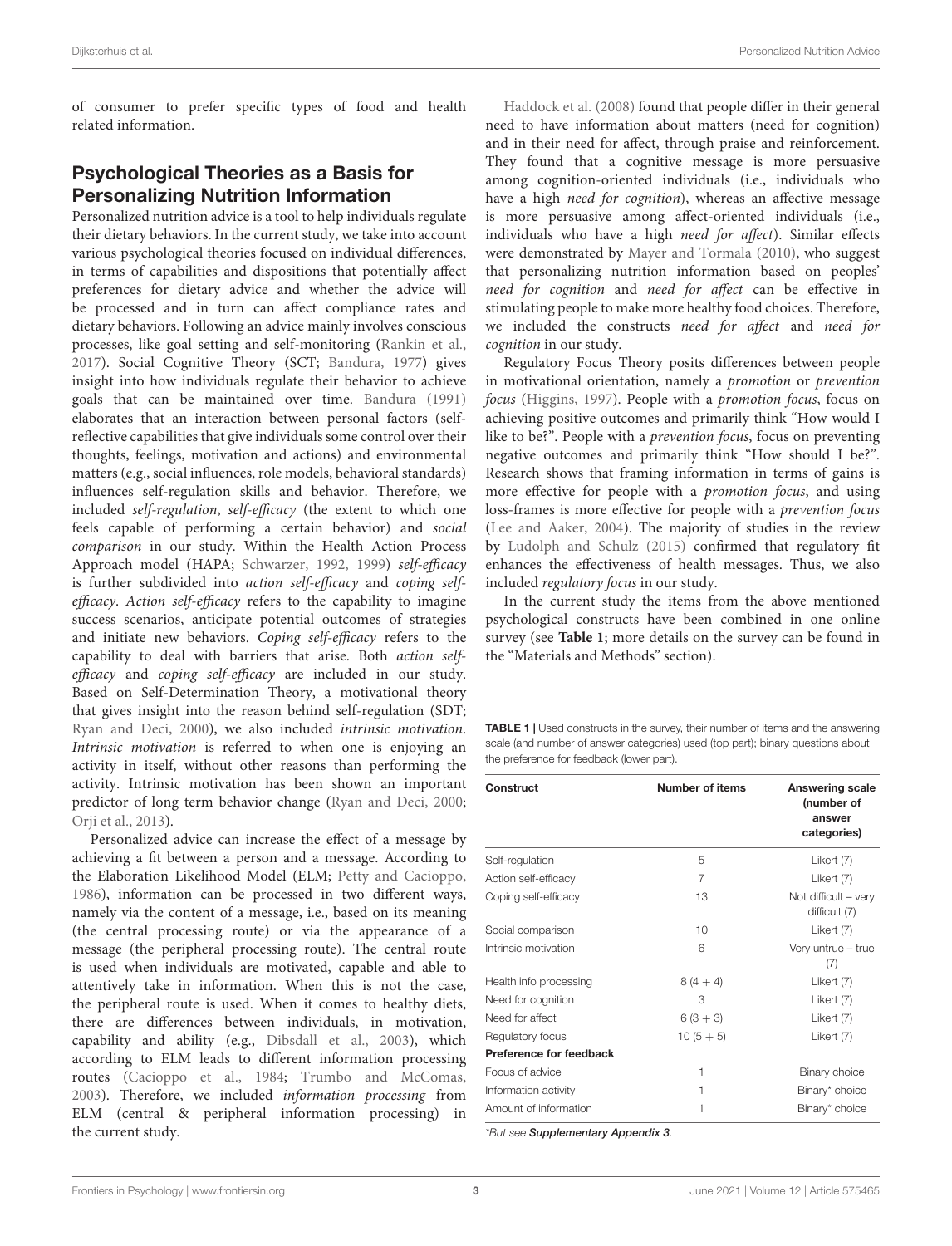of consumer to prefer specific types of food and health related information.

# Psychological Theories as a Basis for Personalizing Nutrition Information

Personalized nutrition advice is a tool to help individuals regulate their dietary behaviors. In the current study, we take into account various psychological theories focused on individual differences, in terms of capabilities and dispositions that potentially affect preferences for dietary advice and whether the advice will be processed and in turn can affect compliance rates and dietary behaviors. Following an advice mainly involves conscious processes, like goal setting and self-monitoring [\(Rankin et al.,](#page-11-13) [2017\)](#page-11-13). Social Cognitive Theory (SCT; [Bandura,](#page-10-15) [1977\)](#page-10-15) gives insight into how individuals regulate their behavior to achieve goals that can be maintained over time. [Bandura](#page-10-16) [\(1991\)](#page-10-16) elaborates that an interaction between personal factors (selfreflective capabilities that give individuals some control over their thoughts, feelings, motivation and actions) and environmental matters (e.g., social influences, role models, behavioral standards) influences self-regulation skills and behavior. Therefore, we included self-regulation, self-efficacy (the extent to which one feels capable of performing a certain behavior) and social comparison in our study. Within the Health Action Process Approach model (HAPA; [Schwarzer,](#page-11-14) [1992,](#page-11-14) [1999\)](#page-11-15) self-efficacy is further subdivided into action self-efficacy and coping selfefficacy. Action self-efficacy refers to the capability to imagine success scenarios, anticipate potential outcomes of strategies and initiate new behaviors. Coping self-efficacy refers to the capability to deal with barriers that arise. Both action selfefficacy and coping self-efficacy are included in our study. Based on Self-Determination Theory, a motivational theory that gives insight into the reason behind self-regulation (SDT; [Ryan and Deci,](#page-11-16) [2000\)](#page-11-16), we also included intrinsic motivation. Intrinsic motivation is referred to when one is enjoying an activity in itself, without other reasons than performing the activity. Intrinsic motivation has been shown an important predictor of long term behavior change [\(Ryan and Deci,](#page-11-16) [2000;](#page-11-16) [Orji et al.,](#page-11-17) [2013\)](#page-11-17).

Personalized advice can increase the effect of a message by achieving a fit between a person and a message. According to the Elaboration Likelihood Model (ELM; [Petty and Cacioppo,](#page-11-18) [1986\)](#page-11-18), information can be processed in two different ways, namely via the content of a message, i.e., based on its meaning (the central processing route) or via the appearance of a message (the peripheral processing route). The central route is used when individuals are motivated, capable and able to attentively take in information. When this is not the case, the peripheral route is used. When it comes to healthy diets, there are differences between individuals, in motivation, capability and ability (e.g., [Dibsdall et al.,](#page-10-17) [2003\)](#page-10-17), which according to ELM leads to different information processing routes [\(Cacioppo et al.,](#page-10-18) [1984;](#page-10-18) [Trumbo and McComas,](#page-11-19) [2003\)](#page-11-19). Therefore, we included information processing from ELM (central & peripheral information processing) in the current study.

[Haddock et al.](#page-10-19) [\(2008\)](#page-10-19) found that people differ in their general need to have information about matters (need for cognition) and in their need for affect, through praise and reinforcement. They found that a cognitive message is more persuasive among cognition-oriented individuals (i.e., individuals who have a high *need for cognition*), whereas an affective message is more persuasive among affect-oriented individuals (i.e., individuals who have a high need for affect). Similar effects were demonstrated by [Mayer and Tormala](#page-11-20) [\(2010\)](#page-11-20), who suggest that personalizing nutrition information based on peoples' need for cognition and need for affect can be effective in stimulating people to make more healthy food choices. Therefore, we included the constructs need for affect and need for cognition in our study.

Regulatory Focus Theory posits differences between people in motivational orientation, namely a promotion or prevention focus [\(Higgins,](#page-10-20) [1997\)](#page-10-20). People with a promotion focus, focus on achieving positive outcomes and primarily think "How would I like to be?". People with a prevention focus, focus on preventing negative outcomes and primarily think "How should I be?". Research shows that framing information in terms of gains is more effective for people with a promotion focus, and using loss-frames is more effective for people with a prevention focus [\(Lee and Aaker,](#page-10-21) [2004\)](#page-10-21). The majority of studies in the review by [Ludolph and Schulz](#page-11-21) [\(2015\)](#page-11-21) confirmed that regulatory fit enhances the effectiveness of health messages. Thus, we also included regulatory focus in our study.

In the current study the items from the above mentioned psychological constructs have been combined in one online survey (see **[Table 1](#page-2-0)**; more details on the survey can be found in the "Materials and Methods" section).

<span id="page-2-0"></span>TABLE 1 | Used constructs in the survey, their number of items and the answering scale (and number of answer categories) used (top part); binary questions about the preference for feedback (lower part).

| Construct               | Number of items | Answering scale<br>(number of<br>answer<br>categories) |
|-------------------------|-----------------|--------------------------------------------------------|
| Self-regulation         | 5               | Likert (7)                                             |
| Action self-efficacy    | 7               | Likert (7)                                             |
| Coping self-efficacy    | 13              | Not difficult - very<br>difficult (7)                  |
| Social comparison       | 10              | Likert (7)                                             |
| Intrinsic motivation    | 6               | Very untrue - true<br>(7)                              |
| Health info processing  | $8(4 + 4)$      | Likert (7)                                             |
| Need for cognition      | З               | Likert (7)                                             |
| Need for affect         | $6(3+3)$        | Likert (7)                                             |
| Regulatory focus        | $10(5+5)$       | Likert (7)                                             |
| Preference for feedback |                 |                                                        |
| Focus of advice         | 1               | Binary choice                                          |
| Information activity    | 1               | Binary* choice                                         |
| Amount of information   |                 | Binary* choice                                         |

\*But see [Supplementary Appendix 3](#page-10-22).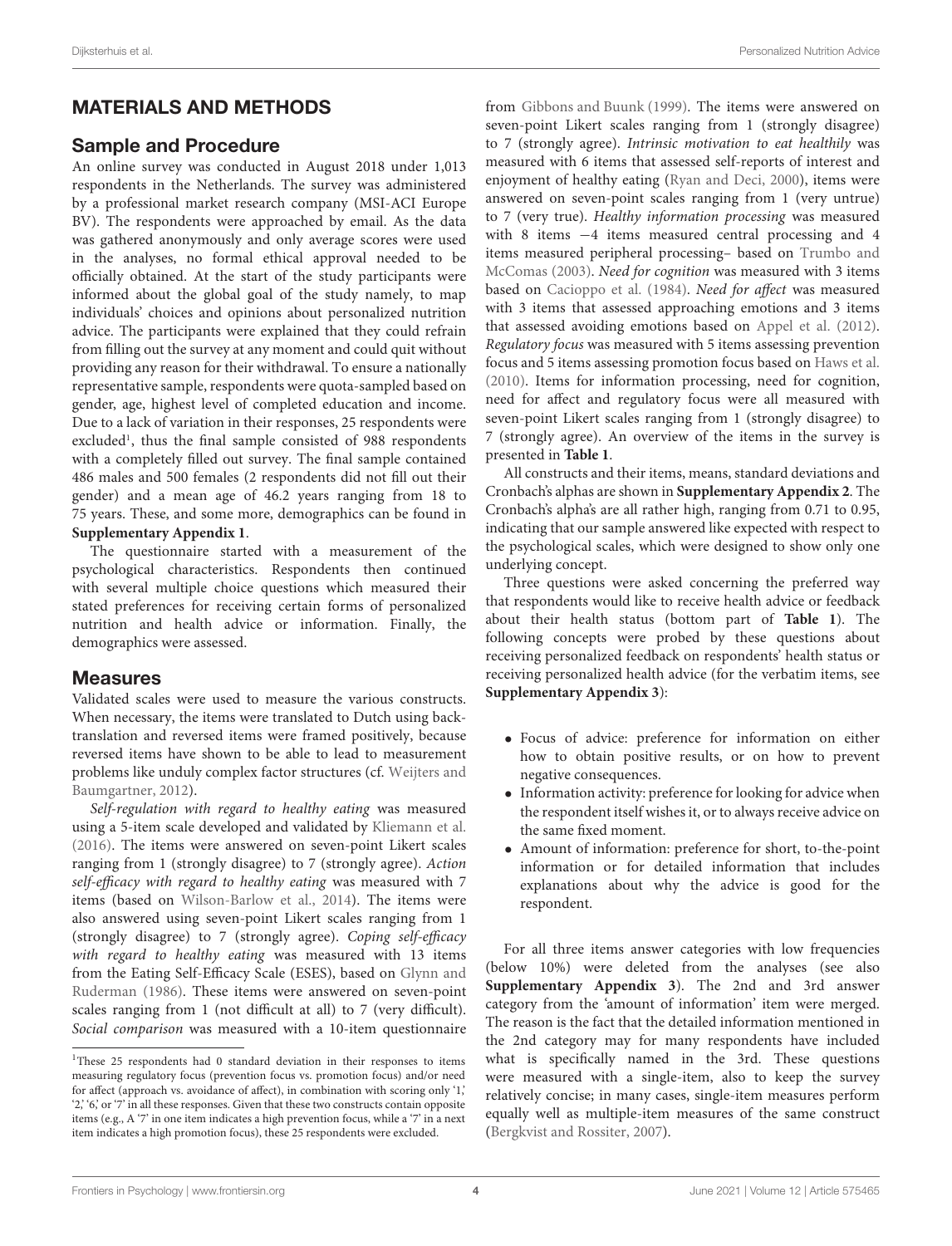# MATERIALS AND METHODS

### Sample and Procedure

An online survey was conducted in August 2018 under 1,013 respondents in the Netherlands. The survey was administered by a professional market research company (MSI-ACI Europe BV). The respondents were approached by email. As the data was gathered anonymously and only average scores were used in the analyses, no formal ethical approval needed to be officially obtained. At the start of the study participants were informed about the global goal of the study namely, to map individuals' choices and opinions about personalized nutrition advice. The participants were explained that they could refrain from filling out the survey at any moment and could quit without providing any reason for their withdrawal. To ensure a nationally representative sample, respondents were quota-sampled based on gender, age, highest level of completed education and income. Due to a lack of variation in their responses, 25 respondents were excluded<sup>[1](#page-3-0)</sup>, thus the final sample consisted of 988 respondents with a completely filled out survey. The final sample contained 486 males and 500 females (2 respondents did not fill out their gender) and a mean age of 46.2 years ranging from 18 to 75 years. These, and some more, demographics can be found in **[Supplementary Appendix 1](#page-10-22)**.

The questionnaire started with a measurement of the psychological characteristics. Respondents then continued with several multiple choice questions which measured their stated preferences for receiving certain forms of personalized nutrition and health advice or information. Finally, the demographics were assessed.

### **Measures**

Validated scales were used to measure the various constructs. When necessary, the items were translated to Dutch using backtranslation and reversed items were framed positively, because reversed items have shown to be able to lead to measurement problems like unduly complex factor structures (cf. [Weijters and](#page-11-22) [Baumgartner,](#page-11-22) [2012\)](#page-11-22).

Self-regulation with regard to healthy eating was measured using a 5-item scale developed and validated by [Kliemann et al.](#page-10-23) [\(2016\)](#page-10-23). The items were answered on seven-point Likert scales ranging from 1 (strongly disagree) to 7 (strongly agree). Action self-efficacy with regard to healthy eating was measured with 7 items (based on [Wilson-Barlow et al.,](#page-11-23) [2014\)](#page-11-23). The items were also answered using seven-point Likert scales ranging from 1 (strongly disagree) to 7 (strongly agree). Coping self-efficacy with regard to healthy eating was measured with 13 items from the Eating Self-Efficacy Scale (ESES), based on [Glynn and](#page-10-24) [Ruderman](#page-10-24) [\(1986\)](#page-10-24). These items were answered on seven-point scales ranging from 1 (not difficult at all) to 7 (very difficult). Social comparison was measured with a 10-item questionnaire from [Gibbons and Buunk](#page-10-25) [\(1999\)](#page-10-25). The items were answered on seven-point Likert scales ranging from 1 (strongly disagree) to 7 (strongly agree). Intrinsic motivation to eat healthily was measured with 6 items that assessed self-reports of interest and enjoyment of healthy eating [\(Ryan and Deci,](#page-11-16) [2000\)](#page-11-16), items were answered on seven-point scales ranging from 1 (very untrue) to 7 (very true). Healthy information processing was measured with 8 items −4 items measured central processing and 4 items measured peripheral processing– based on [Trumbo and](#page-11-19) [McComas](#page-11-19) [\(2003\)](#page-11-19). Need for cognition was measured with 3 items based on [Cacioppo et al.](#page-10-18) [\(1984\)](#page-10-18). Need for affect was measured with 3 items that assessed approaching emotions and 3 items that assessed avoiding emotions based on [Appel et al.](#page-10-26) [\(2012\)](#page-10-26). Regulatory focus was measured with 5 items assessing prevention focus and 5 items assessing promotion focus based on [Haws et al.](#page-10-27) [\(2010\)](#page-10-27). Items for information processing, need for cognition, need for affect and regulatory focus were all measured with seven-point Likert scales ranging from 1 (strongly disagree) to 7 (strongly agree). An overview of the items in the survey is presented in **[Table 1](#page-2-0)**.

All constructs and their items, means, standard deviations and Cronbach's alphas are shown in **[Supplementary Appendix 2](#page-10-22)**. The Cronbach's alpha's are all rather high, ranging from 0.71 to 0.95, indicating that our sample answered like expected with respect to the psychological scales, which were designed to show only one underlying concept.

Three questions were asked concerning the preferred way that respondents would like to receive health advice or feedback about their health status (bottom part of **[Table 1](#page-2-0)**). The following concepts were probed by these questions about receiving personalized feedback on respondents' health status or receiving personalized health advice (for the verbatim items, see **[Supplementary Appendix 3](#page-10-22)**):

- Focus of advice: preference for information on either how to obtain positive results, or on how to prevent negative consequences.
- Information activity: preference for looking for advice when the respondent itself wishes it, or to always receive advice on the same fixed moment.
- Amount of information: preference for short, to-the-point information or for detailed information that includes explanations about why the advice is good for the respondent.

For all three items answer categories with low frequencies (below 10%) were deleted from the analyses (see also **[Supplementary Appendix 3](#page-10-22)**). The 2nd and 3rd answer category from the 'amount of information' item were merged. The reason is the fact that the detailed information mentioned in the 2nd category may for many respondents have included what is specifically named in the 3rd. These questions were measured with a single-item, also to keep the survey relatively concise; in many cases, single-item measures perform equally well as multiple-item measures of the same construct [\(Bergkvist and Rossiter,](#page-10-28) [2007\)](#page-10-28).

<span id="page-3-0"></span><sup>&</sup>lt;sup>1</sup>These 25 respondents had 0 standard deviation in their responses to items measuring regulatory focus (prevention focus vs. promotion focus) and/or need for affect (approach vs. avoidance of affect), in combination with scoring only '1,' '2,' 6,' or '7' in all these responses. Given that these two constructs contain opposite items (e.g., A '7' in one item indicates a high prevention focus, while a '7' in a next item indicates a high promotion focus), these 25 respondents were excluded.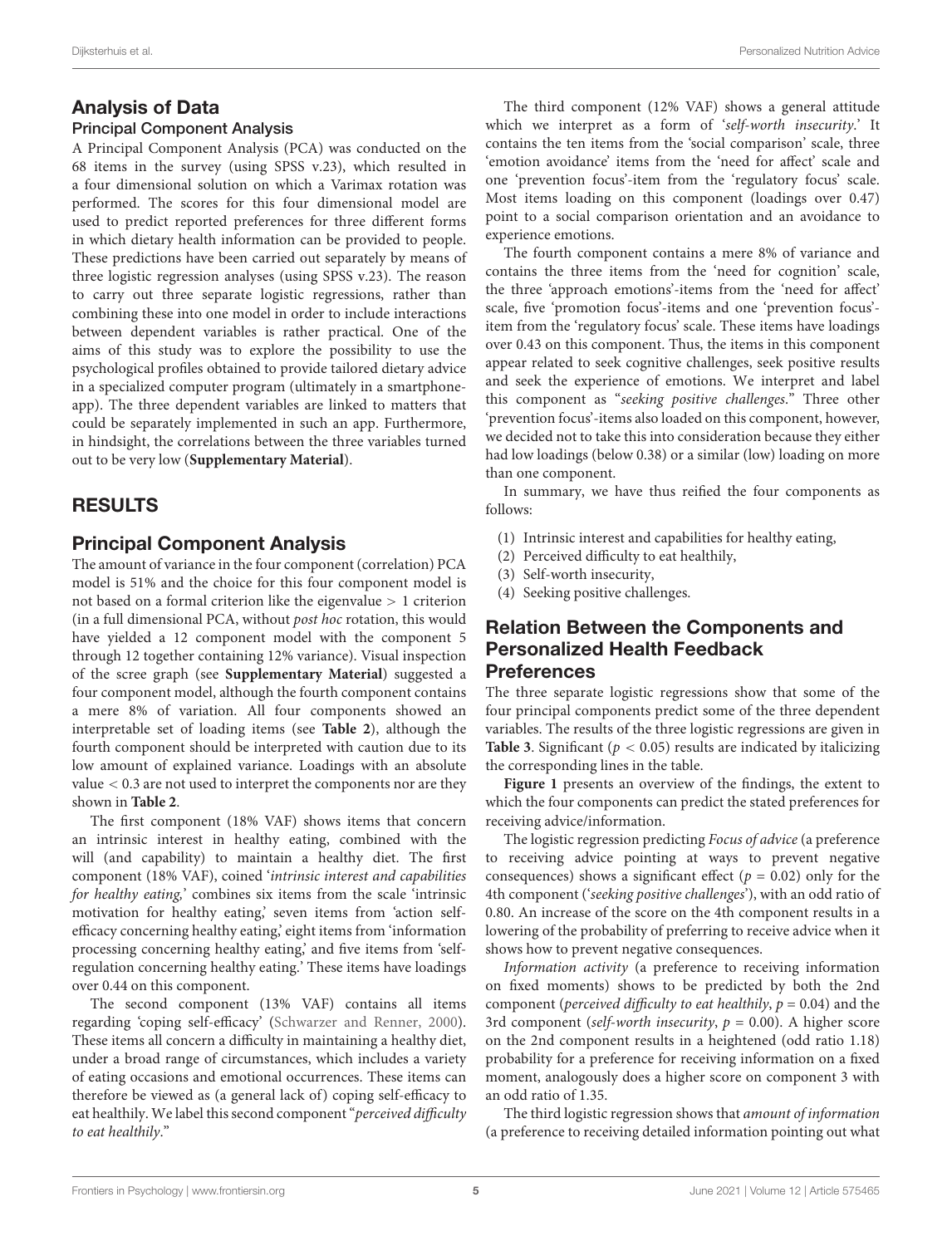# Analysis of Data

### Principal Component Analysis

A Principal Component Analysis (PCA) was conducted on the 68 items in the survey (using SPSS v.23), which resulted in a four dimensional solution on which a Varimax rotation was performed. The scores for this four dimensional model are used to predict reported preferences for three different forms in which dietary health information can be provided to people. These predictions have been carried out separately by means of three logistic regression analyses (using SPSS v.23). The reason to carry out three separate logistic regressions, rather than combining these into one model in order to include interactions between dependent variables is rather practical. One of the aims of this study was to explore the possibility to use the psychological profiles obtained to provide tailored dietary advice in a specialized computer program (ultimately in a smartphoneapp). The three dependent variables are linked to matters that could be separately implemented in such an app. Furthermore, in hindsight, the correlations between the three variables turned out to be very low (**[Supplementary Material](#page-10-22)**).

# RESULTS

# Principal Component Analysis

The amount of variance in the four component (correlation) PCA model is 51% and the choice for this four component model is not based on a formal criterion like the eigenvalue > 1 criterion (in a full dimensional PCA, without post hoc rotation, this would have yielded a 12 component model with the component 5 through 12 together containing 12% variance). Visual inspection of the scree graph (see **[Supplementary Material](#page-10-22)**) suggested a four component model, although the fourth component contains a mere 8% of variation. All four components showed an interpretable set of loading items (see **[Table 2](#page-6-0)**), although the fourth component should be interpreted with caution due to its low amount of explained variance. Loadings with an absolute value < 0.3 are not used to interpret the components nor are they shown in **[Table 2](#page-6-0)**.

The first component (18% VAF) shows items that concern an intrinsic interest in healthy eating, combined with the will (and capability) to maintain a healthy diet. The first component (18% VAF), coined 'intrinsic interest and capabilities for healthy eating,' combines six items from the scale 'intrinsic motivation for healthy eating,' seven items from 'action selfefficacy concerning healthy eating,' eight items from 'information processing concerning healthy eating,' and five items from 'selfregulation concerning healthy eating.' These items have loadings over 0.44 on this component.

The second component (13% VAF) contains all items regarding 'coping self-efficacy' [\(Schwarzer and Renner,](#page-11-24) [2000\)](#page-11-24). These items all concern a difficulty in maintaining a healthy diet, under a broad range of circumstances, which includes a variety of eating occasions and emotional occurrences. These items can therefore be viewed as (a general lack of) coping self-efficacy to eat healthily. We label this second component "perceived difficulty to eat healthily."

The third component (12% VAF) shows a general attitude which we interpret as a form of 'self-worth insecurity.' It contains the ten items from the 'social comparison' scale, three 'emotion avoidance' items from the 'need for affect' scale and one 'prevention focus'-item from the 'regulatory focus' scale. Most items loading on this component (loadings over 0.47) point to a social comparison orientation and an avoidance to experience emotions.

The fourth component contains a mere 8% of variance and contains the three items from the 'need for cognition' scale, the three 'approach emotions'-items from the 'need for affect' scale, five 'promotion focus'-items and one 'prevention focus' item from the 'regulatory focus' scale. These items have loadings over 0.43 on this component. Thus, the items in this component appear related to seek cognitive challenges, seek positive results and seek the experience of emotions. We interpret and label this component as "seeking positive challenges." Three other 'prevention focus'-items also loaded on this component, however, we decided not to take this into consideration because they either had low loadings (below 0.38) or a similar (low) loading on more than one component.

In summary, we have thus reified the four components as follows:

- (1) Intrinsic interest and capabilities for healthy eating,
- (2) Perceived difficulty to eat healthily,
- (3) Self-worth insecurity,
- (4) Seeking positive challenges.

# Relation Between the Components and Personalized Health Feedback **Preferences**

The three separate logistic regressions show that some of the four principal components predict some of the three dependent variables. The results of the three logistic regressions are given in **[Table 3](#page-7-0).** Significant ( $p < 0.05$ ) results are indicated by italicizing the corresponding lines in the table.

**[Figure 1](#page-8-0)** presents an overview of the findings, the extent to which the four components can predict the stated preferences for receiving advice/information.

The logistic regression predicting Focus of advice (a preference to receiving advice pointing at ways to prevent negative consequences) shows a significant effect ( $p = 0.02$ ) only for the 4th component ('seeking positive challenges'), with an odd ratio of 0.80. An increase of the score on the 4th component results in a lowering of the probability of preferring to receive advice when it shows how to prevent negative consequences.

Information activity (a preference to receiving information on fixed moments) shows to be predicted by both the 2nd component (perceived difficulty to eat healthily,  $p = 0.04$ ) and the 3rd component (self-worth insecurity,  $p = 0.00$ ). A higher score on the 2nd component results in a heightened (odd ratio 1.18) probability for a preference for receiving information on a fixed moment, analogously does a higher score on component 3 with an odd ratio of 1.35.

The third logistic regression shows that amount of information (a preference to receiving detailed information pointing out what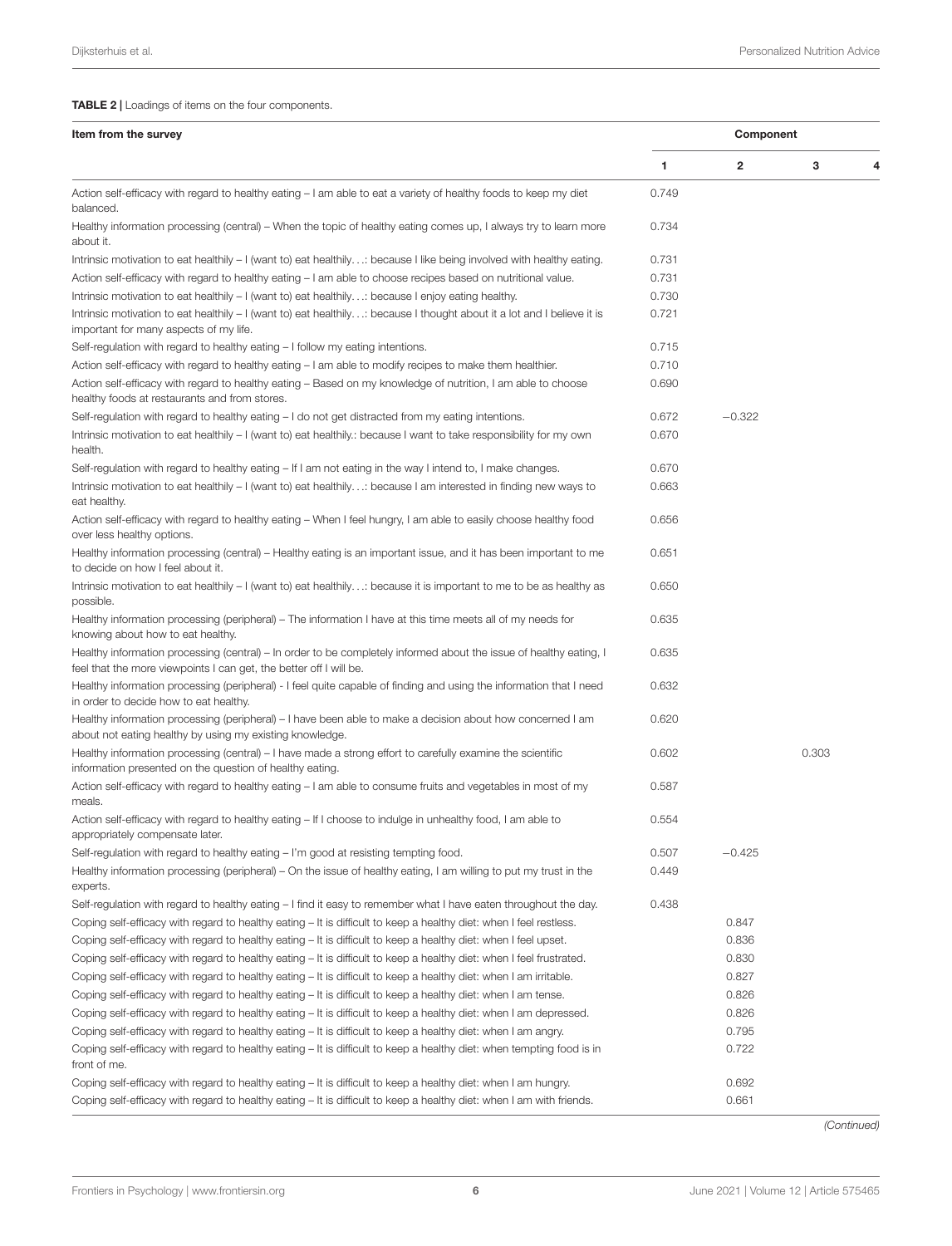| Item from the survey                                                                                                                                                                     |       | Component |       |   |  |
|------------------------------------------------------------------------------------------------------------------------------------------------------------------------------------------|-------|-----------|-------|---|--|
|                                                                                                                                                                                          | 1     | 2         | 3     | Δ |  |
| Action self-efficacy with regard to healthy eating - I am able to eat a variety of healthy foods to keep my diet<br>balanced.                                                            | 0.749 |           |       |   |  |
| Healthy information processing (central) – When the topic of healthy eating comes up, I always try to learn more<br>about it.                                                            | 0.734 |           |       |   |  |
| Intrinsic motivation to eat healthily – I (want to) eat healthily: because I like being involved with healthy eating.                                                                    | 0.731 |           |       |   |  |
| Action self-efficacy with regard to healthy eating - I am able to choose recipes based on nutritional value.                                                                             | 0.731 |           |       |   |  |
| Intrinsic motivation to eat healthily $-1$ (want to) eat healthily: because I enjoy eating healthy.                                                                                      | 0.730 |           |       |   |  |
| Intrinsic motivation to eat healthily – I (want to) eat healthily: because I thought about it a lot and I believe it is<br>important for many aspects of my life.                        | 0.721 |           |       |   |  |
| Self-regulation with regard to healthy eating - I follow my eating intentions.                                                                                                           | 0.715 |           |       |   |  |
| Action self-efficacy with regard to healthy eating - I am able to modify recipes to make them healthier.                                                                                 | 0.710 |           |       |   |  |
| Action self-efficacy with regard to healthy eating – Based on my knowledge of nutrition, I am able to choose<br>healthy foods at restaurants and from stores.                            | 0.690 |           |       |   |  |
| Self-regulation with regard to healthy eating $-1$ do not get distracted from my eating intentions.                                                                                      | 0.672 | $-0.322$  |       |   |  |
| Intrinsic motivation to eat healthily - I (want to) eat healthily.: because I want to take responsibility for my own<br>health.                                                          | 0.670 |           |       |   |  |
| Self-regulation with regard to healthy eating $-$ If I am not eating in the way I intend to, I make changes.                                                                             | 0.670 |           |       |   |  |
| Intrinsic motivation to eat healthily – I (want to) eat healthily: because I am interested in finding new ways to<br>eat healthy.                                                        | 0.663 |           |       |   |  |
| Action self-efficacy with regard to healthy eating – When I feel hungry, I am able to easily choose healthy food<br>over less healthy options.                                           | 0.656 |           |       |   |  |
| Healthy information processing (central) – Healthy eating is an important issue, and it has been important to me<br>to decide on how I feel about it.                                    | 0.651 |           |       |   |  |
| Intrinsic motivation to eat healthily – I (want to) eat healthily: because it is important to me to be as healthy as<br>possible.                                                        | 0.650 |           |       |   |  |
| Healthy information processing (peripheral) – The information I have at this time meets all of my needs for<br>knowing about how to eat healthy.                                         | 0.635 |           |       |   |  |
| Healthy information processing (central) – In order to be completely informed about the issue of healthy eating, I<br>feel that the more viewpoints I can get, the better off I will be. | 0.635 |           |       |   |  |
| Healthy information processing (peripheral) - I feel quite capable of finding and using the information that I need<br>in order to decide how to eat healthy.                            | 0.632 |           |       |   |  |
| Healthy information processing (peripheral) – I have been able to make a decision about how concerned I am<br>about not eating healthy by using my existing knowledge.                   | 0.620 |           |       |   |  |
| Healthy information processing (central) - I have made a strong effort to carefully examine the scientific<br>information presented on the question of healthy eating.                   | 0.602 |           | 0.303 |   |  |
| Action self-efficacy with regard to healthy eating - I am able to consume fruits and vegetables in most of my<br>meals.                                                                  | 0.587 |           |       |   |  |
| Action self-efficacy with regard to healthy eating – If I choose to indulge in unhealthy food, I am able to<br>appropriately compensate later.                                           | 0.554 |           |       |   |  |
| Self-regulation with regard to healthy eating – I'm good at resisting tempting food.                                                                                                     | 0.507 | $-0.425$  |       |   |  |
| Healthy information processing (peripheral) – On the issue of healthy eating, I am willing to put my trust in the<br>experts.                                                            | 0.449 |           |       |   |  |
| Self-regulation with regard to healthy eating – I find it easy to remember what I have eaten throughout the day.                                                                         | 0.438 |           |       |   |  |
| Coping self-efficacy with regard to healthy eating - It is difficult to keep a healthy diet: when I feel restless.                                                                       |       | 0.847     |       |   |  |
| Coping self-efficacy with regard to healthy eating – It is difficult to keep a healthy diet: when I feel upset.                                                                          |       | 0.836     |       |   |  |
| Coping self-efficacy with regard to healthy eating - It is difficult to keep a healthy diet: when I feel frustrated.                                                                     |       | 0.830     |       |   |  |
| Coping self-efficacy with regard to healthy eating – It is difficult to keep a healthy diet: when I am irritable.                                                                        |       | 0.827     |       |   |  |
| Coping self-efficacy with regard to healthy eating – It is difficult to keep a healthy diet: when I am tense.                                                                            |       | 0.826     |       |   |  |
| Coping self-efficacy with regard to healthy eating – It is difficult to keep a healthy diet: when I am depressed.                                                                        |       | 0.826     |       |   |  |
| Coping self-efficacy with regard to healthy eating – It is difficult to keep a healthy diet: when I am angry.                                                                            |       | 0.795     |       |   |  |
| Coping self-efficacy with regard to healthy eating - It is difficult to keep a healthy diet: when tempting food is in<br>front of me.                                                    |       | 0.722     |       |   |  |
| Coping self-efficacy with regard to healthy eating – It is difficult to keep a healthy diet: when I am hungry.                                                                           |       | 0.692     |       |   |  |
| Coping self-efficacy with regard to healthy eating - It is difficult to keep a healthy diet: when I am with friends.                                                                     |       | 0.661     |       |   |  |

(Continued)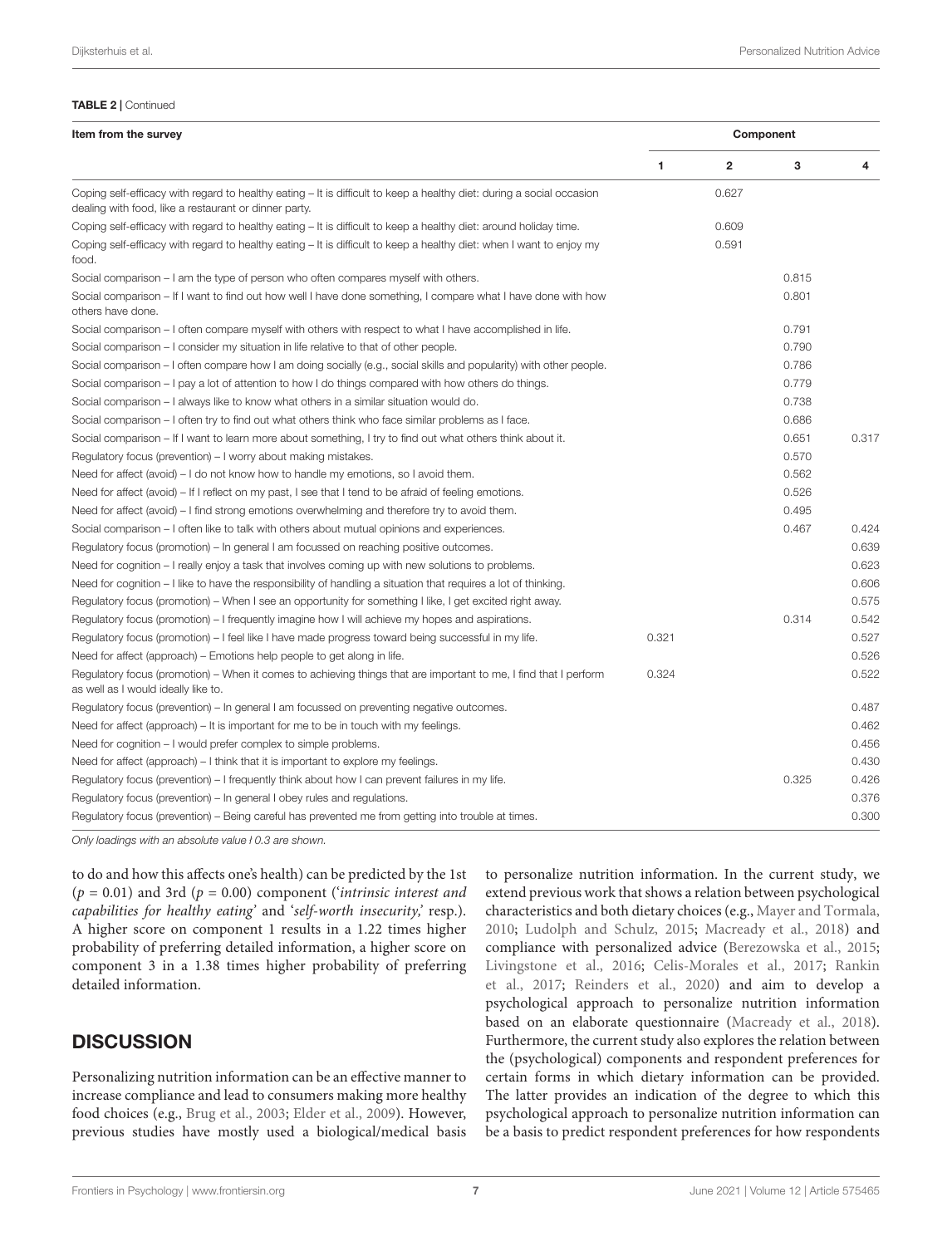#### <span id="page-6-0"></span>TABLE 2 | Continued

| Item from the survey                                                                                                                                                           |       | Component      |       |       |  |  |
|--------------------------------------------------------------------------------------------------------------------------------------------------------------------------------|-------|----------------|-------|-------|--|--|
|                                                                                                                                                                                | 1     | $\overline{2}$ | 3     | 4     |  |  |
| Coping self-efficacy with regard to healthy eating - It is difficult to keep a healthy diet: during a social occasion<br>dealing with food, like a restaurant or dinner party. |       | 0.627          |       |       |  |  |
| Coping self-efficacy with regard to healthy eating – It is difficult to keep a healthy diet: around holiday time.                                                              |       | 0.609          |       |       |  |  |
| Coping self-efficacy with regard to healthy eating – It is difficult to keep a healthy diet: when I want to enjoy my<br>food.                                                  |       | 0.591          |       |       |  |  |
| Social comparison – I am the type of person who often compares myself with others.                                                                                             |       |                | 0.815 |       |  |  |
| Social comparison – If I want to find out how well I have done something, I compare what I have done with how<br>others have done.                                             |       |                | 0.801 |       |  |  |
| Social comparison – I often compare myself with others with respect to what I have accomplished in life.                                                                       |       |                | 0.791 |       |  |  |
| Social comparison – I consider my situation in life relative to that of other people.                                                                                          |       |                | 0.790 |       |  |  |
| Social comparison – I often compare how I am doing socially (e.g., social skills and popularity) with other people.                                                            |       |                | 0.786 |       |  |  |
| Social comparison $-1$ pay a lot of attention to how I do things compared with how others do things.                                                                           |       |                | 0.779 |       |  |  |
| Social comparison – I always like to know what others in a similar situation would do.                                                                                         |       |                | 0.738 |       |  |  |
| Social comparison – I often try to find out what others think who face similar problems as I face.                                                                             |       |                | 0.686 |       |  |  |
| Social comparison – If I want to learn more about something, I try to find out what others think about it.                                                                     |       |                | 0.651 | 0.317 |  |  |
| Regulatory focus (prevention) – I worry about making mistakes.                                                                                                                 |       |                | 0.570 |       |  |  |
| Need for affect (avoid) $-1$ do not know how to handle my emotions, so I avoid them.                                                                                           |       |                | 0.562 |       |  |  |
| Need for affect (avoid) – If I reflect on my past, I see that I tend to be afraid of feeling emotions.                                                                         |       |                | 0.526 |       |  |  |
| Need for affect (avoid) $-1$ find strong emotions overwhelming and therefore try to avoid them.                                                                                |       |                | 0.495 |       |  |  |
| Social comparison – I often like to talk with others about mutual opinions and experiences.                                                                                    |       |                | 0.467 | 0.424 |  |  |
| Regulatory focus (promotion) – In general I am focussed on reaching positive outcomes.                                                                                         |       |                |       | 0.639 |  |  |
| Need for cognition – I really enjoy a task that involves coming up with new solutions to problems.                                                                             |       |                |       | 0.623 |  |  |
| Need for cognition $-1$ like to have the responsibility of handling a situation that requires a lot of thinking.                                                               |       |                |       | 0.606 |  |  |
| Regulatory focus (promotion) – When I see an opportunity for something I like, I get excited right away.                                                                       |       |                |       | 0.575 |  |  |
| Regulatory focus (promotion) – I frequently imagine how I will achieve my hopes and aspirations.                                                                               |       |                | 0.314 | 0.542 |  |  |
| Regulatory focus (promotion) – I feel like I have made progress toward being successful in my life.                                                                            | 0.321 |                |       | 0.527 |  |  |
| Need for affect (approach) – Emotions help people to get along in life.                                                                                                        |       |                |       | 0.526 |  |  |
| Regulatory focus (promotion) – When it comes to achieving things that are important to me, I find that I perform<br>as well as I would ideally like to.                        | 0.324 |                |       | 0.522 |  |  |
| Regulatory focus (prevention) – In general I am focussed on preventing negative outcomes.                                                                                      |       |                |       | 0.487 |  |  |
| Need for affect (approach) $-$ It is important for me to be in touch with my feelings.                                                                                         |       |                |       | 0.462 |  |  |
| Need for cognition – I would prefer complex to simple problems.                                                                                                                |       |                |       | 0.456 |  |  |
| Need for affect (approach) – I think that it is important to explore my feelings.                                                                                              |       |                |       | 0.430 |  |  |
| Regulatory focus (prevention) – I frequently think about how I can prevent failures in my life.                                                                                |       |                | 0.325 | 0.426 |  |  |
| Regulatory focus (prevention) – In general I obey rules and regulations.                                                                                                       |       |                |       | 0.376 |  |  |
| Regulatory focus (prevention) – Being careful has prevented me from getting into trouble at times.                                                                             |       |                |       | 0.300 |  |  |

Only loadings with an absolute value ł 0.3 are shown.

to do and how this affects one's health) can be predicted by the 1st  $(p = 0.01)$  and 3rd  $(p = 0.00)$  component (*'intrinsic interest and* capabilities for healthy eating' and 'self-worth insecurity,' resp.). A higher score on component 1 results in a 1.22 times higher probability of preferring detailed information, a higher score on component 3 in a 1.38 times higher probability of preferring detailed information.

# **DISCUSSION**

Personalizing nutrition information can be an effective manner to increase compliance and lead to consumers making more healthy food choices (e.g., [Brug et al.,](#page-10-5) [2003;](#page-10-5) [Elder et al.,](#page-10-6) [2009\)](#page-10-6). However, previous studies have mostly used a biological/medical basis to personalize nutrition information. In the current study, we extend previous work that shows a relation between psychological characteristics and both dietary choices (e.g., [Mayer and Tormala,](#page-11-20) [2010;](#page-11-20) [Ludolph and Schulz,](#page-11-21) [2015;](#page-11-21) [Macready et al.,](#page-11-11) [2018\)](#page-11-11) and compliance with personalized advice [\(Berezowska et al.,](#page-10-4) [2015;](#page-10-4) [Livingstone et al.,](#page-10-7) [2016;](#page-10-7) [Celis-Morales et al.,](#page-10-8) [2017;](#page-10-8) [Rankin](#page-11-13) [et al.,](#page-11-13) [2017;](#page-11-13) [Reinders et al.,](#page-11-3) [2020\)](#page-11-3) and aim to develop a psychological approach to personalize nutrition information based on an elaborate questionnaire [\(Macready et al.,](#page-11-11) [2018\)](#page-11-11). Furthermore, the current study also explores the relation between the (psychological) components and respondent preferences for certain forms in which dietary information can be provided. The latter provides an indication of the degree to which this psychological approach to personalize nutrition information can be a basis to predict respondent preferences for how respondents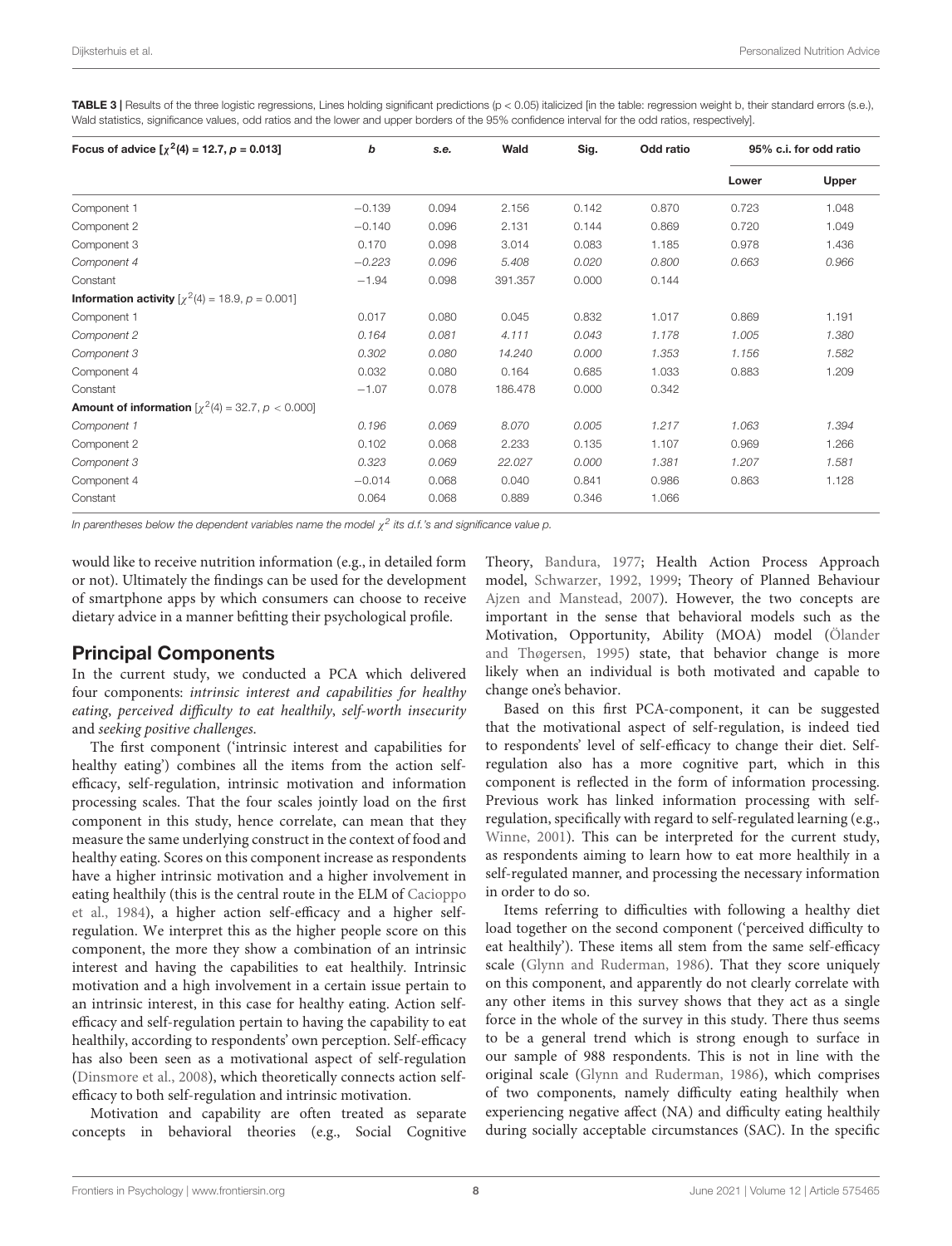<span id="page-7-0"></span>TABLE 3 | Results of the three logistic regressions, Lines holding significant predictions (p < 0.05) italicized [in the table: regression weight b, their standard errors (s.e.), Wald statistics, significance values, odd ratios and the lower and upper borders of the 95% confidence interval for the odd ratios, respectively].

| Focus of advice $[\chi^2(4) = 12.7, p = 0.013]$              | b        | s.e.  | Wald    | Sig.  | Odd ratio | 95% c.i. for odd ratio |       |
|--------------------------------------------------------------|----------|-------|---------|-------|-----------|------------------------|-------|
|                                                              |          |       |         |       |           | Lower                  | Upper |
| Component 1                                                  | $-0.139$ | 0.094 | 2.156   | 0.142 | 0.870     | 0.723                  | 1.048 |
| Component 2                                                  | $-0.140$ | 0.096 | 2.131   | 0.144 | 0.869     | 0.720                  | 1.049 |
| Component 3                                                  | 0.170    | 0.098 | 3.014   | 0.083 | 1.185     | 0.978                  | 1.436 |
| Component 4                                                  | $-0.223$ | 0.096 | 5.408   | 0.020 | 0.800     | 0.663                  | 0.966 |
| Constant                                                     | $-1.94$  | 0.098 | 391.357 | 0.000 | 0.144     |                        |       |
| <b>Information activity</b> $[\chi^2(4) = 18.9, p = 0.001]$  |          |       |         |       |           |                        |       |
| Component 1                                                  | 0.017    | 0.080 | 0.045   | 0.832 | 1.017     | 0.869                  | 1.191 |
| Component 2                                                  | 0.164    | 0.081 | 4.111   | 0.043 | 1.178     | 1.005                  | 1.380 |
| Component 3                                                  | 0.302    | 0.080 | 14.240  | 0.000 | 1.353     | 1.156                  | 1.582 |
| Component 4                                                  | 0.032    | 0.080 | 0.164   | 0.685 | 1.033     | 0.883                  | 1.209 |
| Constant                                                     | $-1.07$  | 0.078 | 186.478 | 0.000 | 0.342     |                        |       |
| <b>Amount of information</b> $[\chi^2(4) = 32.7, p < 0.000]$ |          |       |         |       |           |                        |       |
| Component 1                                                  | 0.196    | 0.069 | 8.070   | 0.005 | 1.217     | 1.063                  | 1.394 |
| Component 2                                                  | 0.102    | 0.068 | 2.233   | 0.135 | 1.107     | 0.969                  | 1.266 |
| Component 3                                                  | 0.323    | 0.069 | 22.027  | 0.000 | 1.381     | 1.207                  | 1.581 |
| Component 4                                                  | $-0.014$ | 0.068 | 0.040   | 0.841 | 0.986     | 0.863                  | 1.128 |
| Constant                                                     | 0.064    | 0.068 | 0.889   | 0.346 | 1.066     |                        |       |

In parentheses below the dependent variables name the model  $\chi^2$  its d.f.'s and significance value p.

would like to receive nutrition information (e.g., in detailed form or not). Ultimately the findings can be used for the development of smartphone apps by which consumers can choose to receive dietary advice in a manner befitting their psychological profile.

## Principal Components

In the current study, we conducted a PCA which delivered four components: intrinsic interest and capabilities for healthy eating, perceived difficulty to eat healthily, self-worth insecurity and seeking positive challenges.

The first component ('intrinsic interest and capabilities for healthy eating') combines all the items from the action selfefficacy, self-regulation, intrinsic motivation and information processing scales. That the four scales jointly load on the first component in this study, hence correlate, can mean that they measure the same underlying construct in the context of food and healthy eating. Scores on this component increase as respondents have a higher intrinsic motivation and a higher involvement in eating healthily (this is the central route in the ELM of [Cacioppo](#page-10-18) [et al.,](#page-10-18) [1984\)](#page-10-18), a higher action self-efficacy and a higher selfregulation. We interpret this as the higher people score on this component, the more they show a combination of an intrinsic interest and having the capabilities to eat healthily. Intrinsic motivation and a high involvement in a certain issue pertain to an intrinsic interest, in this case for healthy eating. Action selfefficacy and self-regulation pertain to having the capability to eat healthily, according to respondents' own perception. Self-efficacy has also been seen as a motivational aspect of self-regulation [\(Dinsmore et al.,](#page-10-29) [2008\)](#page-10-29), which theoretically connects action selfefficacy to both self-regulation and intrinsic motivation.

Motivation and capability are often treated as separate concepts in behavioral theories (e.g., Social Cognitive

Theory, [Bandura,](#page-10-15) [1977;](#page-10-15) Health Action Process Approach model, [Schwarzer,](#page-11-14) [1992,](#page-11-14) [1999;](#page-11-15) Theory of Planned Behaviour [Ajzen and Manstead,](#page-10-11) [2007\)](#page-10-11). However, the two concepts are important in the sense that behavioral models such as the Motivation, Opportunity, Ability (MOA) model [\(Ölander](#page-11-25) [and Thøgersen,](#page-11-25) [1995\)](#page-11-25) state, that behavior change is more likely when an individual is both motivated and capable to change one's behavior.

Based on this first PCA-component, it can be suggested that the motivational aspect of self-regulation, is indeed tied to respondents' level of self-efficacy to change their diet. Selfregulation also has a more cognitive part, which in this component is reflected in the form of information processing. Previous work has linked information processing with selfregulation, specifically with regard to self-regulated learning (e.g., [Winne,](#page-11-26) [2001\)](#page-11-26). This can be interpreted for the current study, as respondents aiming to learn how to eat more healthily in a self-regulated manner, and processing the necessary information in order to do so.

Items referring to difficulties with following a healthy diet load together on the second component ('perceived difficulty to eat healthily'). These items all stem from the same self-efficacy scale [\(Glynn and Ruderman,](#page-10-24) [1986\)](#page-10-24). That they score uniquely on this component, and apparently do not clearly correlate with any other items in this survey shows that they act as a single force in the whole of the survey in this study. There thus seems to be a general trend which is strong enough to surface in our sample of 988 respondents. This is not in line with the original scale [\(Glynn and Ruderman,](#page-10-24) [1986\)](#page-10-24), which comprises of two components, namely difficulty eating healthily when experiencing negative affect (NA) and difficulty eating healthily during socially acceptable circumstances (SAC). In the specific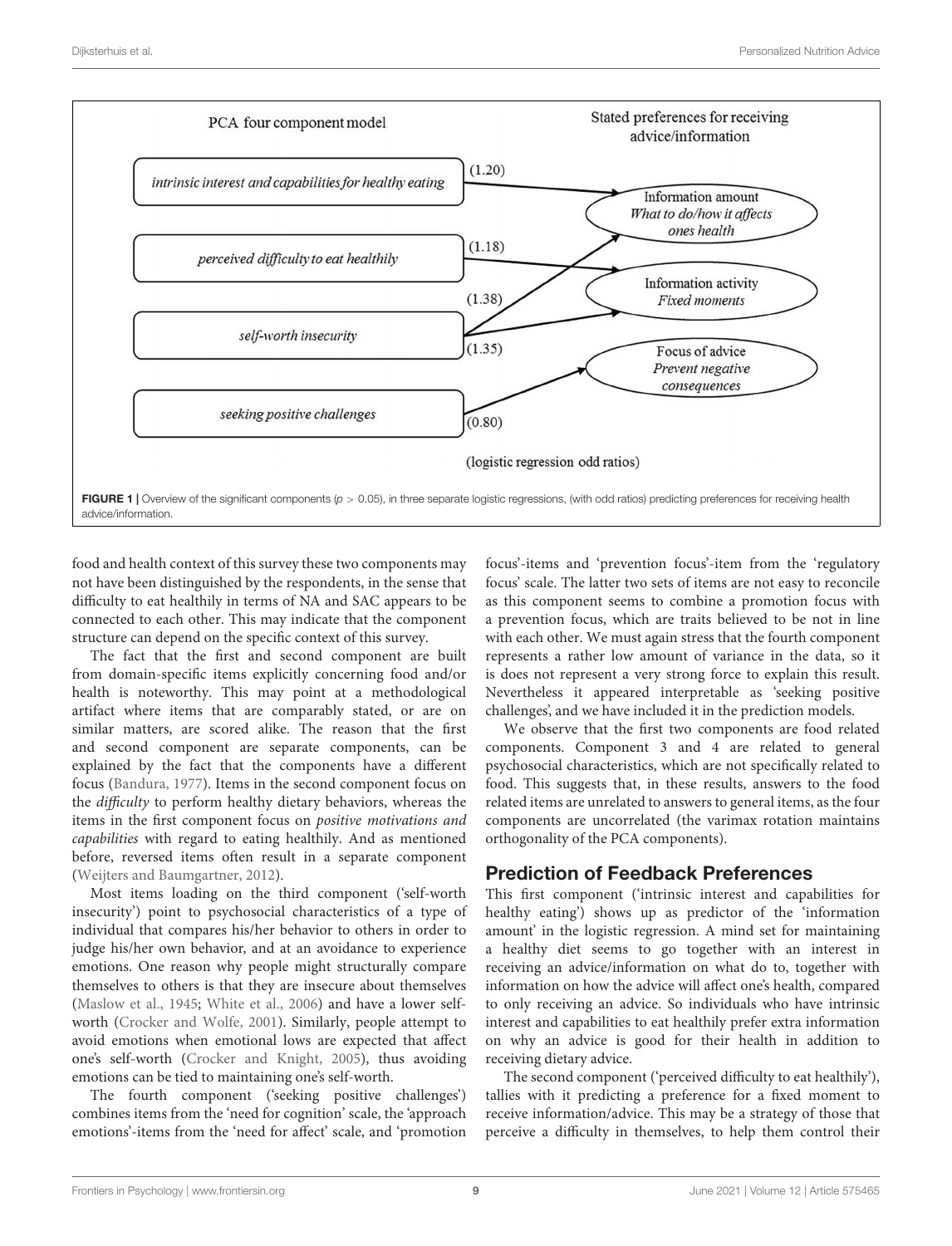

<span id="page-8-0"></span>food and health context of this survey these two components may not have been distinguished by the respondents, in the sense that difficulty to eat healthily in terms of NA and SAC appears to be connected to each other. This may indicate that the component structure can depend on the specific context of this survey.

The fact that the first and second component are built from domain-specific items explicitly concerning food and/or health is noteworthy. This may point at a methodological artifact where items that are comparably stated, or are on similar matters, are scored alike. The reason that the first and second component are separate components, can be explained by the fact that the components have a different focus [\(Bandura,](#page-10-15) [1977\)](#page-10-15). Items in the second component focus on the difficulty to perform healthy dietary behaviors, whereas the items in the first component focus on positive motivations and capabilities with regard to eating healthily. And as mentioned before, reversed items often result in a separate component [\(Weijters and Baumgartner,](#page-11-22) [2012\)](#page-11-22).

Most items loading on the third component ('self-worth insecurity') point to psychosocial characteristics of a type of individual that compares his/her behavior to others in order to judge his/her own behavior, and at an avoidance to experience emotions. One reason why people might structurally compare themselves to others is that they are insecure about themselves [\(Maslow et al.,](#page-11-27) [1945;](#page-11-27) [White et al.,](#page-11-28) [2006\)](#page-11-28) and have a lower selfworth [\(Crocker and Wolfe,](#page-10-30) [2001\)](#page-10-30). Similarly, people attempt to avoid emotions when emotional lows are expected that affect one's self-worth [\(Crocker and Knight,](#page-10-31) [2005\)](#page-10-31), thus avoiding emotions can be tied to maintaining one's self-worth.

The fourth component ('seeking positive challenges') combines items from the 'need for cognition' scale, the 'approach emotions'-items from the 'need for affect' scale, and 'promotion focus'-items and 'prevention focus'-item from the 'regulatory focus' scale. The latter two sets of items are not easy to reconcile as this component seems to combine a promotion focus with a prevention focus, which are traits believed to be not in line with each other. We must again stress that the fourth component represents a rather low amount of variance in the data, so it is does not represent a very strong force to explain this result. Nevertheless it appeared interpretable as 'seeking positive challenges', and we have included it in the prediction models.

We observe that the first two components are food related components. Component 3 and 4 are related to general psychosocial characteristics, which are not specifically related to food. This suggests that, in these results, answers to the food related items are unrelated to answers to general items, as the four components are uncorrelated (the varimax rotation maintains orthogonality of the PCA components).

## Prediction of Feedback Preferences

This first component ('intrinsic interest and capabilities for healthy eating') shows up as predictor of the 'information amount' in the logistic regression. A mind set for maintaining a healthy diet seems to go together with an interest in receiving an advice/information on what do to, together with information on how the advice will affect one's health, compared to only receiving an advice. So individuals who have intrinsic interest and capabilities to eat healthily prefer extra information on why an advice is good for their health in addition to receiving dietary advice.

The second component ('perceived difficulty to eat healthily'), tallies with it predicting a preference for a fixed moment to receive information/advice. This may be a strategy of those that perceive a difficulty in themselves, to help them control their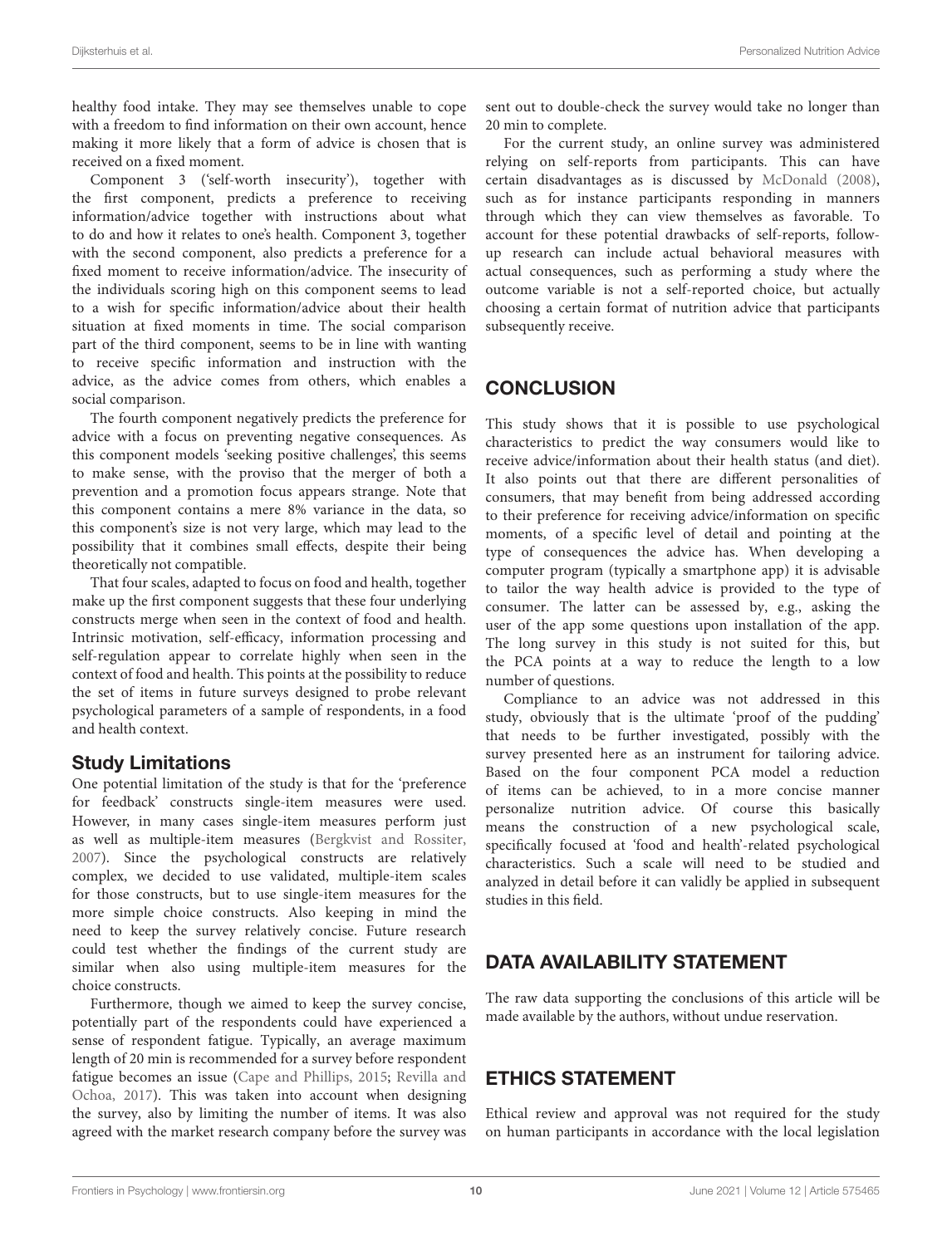healthy food intake. They may see themselves unable to cope with a freedom to find information on their own account, hence making it more likely that a form of advice is chosen that is received on a fixed moment.

Component 3 ('self-worth insecurity'), together with the first component, predicts a preference to receiving information/advice together with instructions about what to do and how it relates to one's health. Component 3, together with the second component, also predicts a preference for a fixed moment to receive information/advice. The insecurity of the individuals scoring high on this component seems to lead to a wish for specific information/advice about their health situation at fixed moments in time. The social comparison part of the third component, seems to be in line with wanting to receive specific information and instruction with the advice, as the advice comes from others, which enables a social comparison.

The fourth component negatively predicts the preference for advice with a focus on preventing negative consequences. As this component models 'seeking positive challenges', this seems to make sense, with the proviso that the merger of both a prevention and a promotion focus appears strange. Note that this component contains a mere 8% variance in the data, so this component's size is not very large, which may lead to the possibility that it combines small effects, despite their being theoretically not compatible.

That four scales, adapted to focus on food and health, together make up the first component suggests that these four underlying constructs merge when seen in the context of food and health. Intrinsic motivation, self-efficacy, information processing and self-regulation appear to correlate highly when seen in the context of food and health. This points at the possibility to reduce the set of items in future surveys designed to probe relevant psychological parameters of a sample of respondents, in a food and health context.

## Study Limitations

One potential limitation of the study is that for the 'preference for feedback' constructs single-item measures were used. However, in many cases single-item measures perform just as well as multiple-item measures [\(Bergkvist and Rossiter,](#page-10-28) [2007\)](#page-10-28). Since the psychological constructs are relatively complex, we decided to use validated, multiple-item scales for those constructs, but to use single-item measures for the more simple choice constructs. Also keeping in mind the need to keep the survey relatively concise. Future research could test whether the findings of the current study are similar when also using multiple-item measures for the choice constructs.

Furthermore, though we aimed to keep the survey concise, potentially part of the respondents could have experienced a sense of respondent fatigue. Typically, an average maximum length of 20 min is recommended for a survey before respondent fatigue becomes an issue [\(Cape and Phillips,](#page-10-32) [2015;](#page-10-32) [Revilla and](#page-11-29) [Ochoa,](#page-11-29) [2017\)](#page-11-29). This was taken into account when designing the survey, also by limiting the number of items. It was also agreed with the market research company before the survey was

sent out to double-check the survey would take no longer than 20 min to complete.

For the current study, an online survey was administered relying on self-reports from participants. This can have certain disadvantages as is discussed by [McDonald](#page-11-30) [\(2008\)](#page-11-30), such as for instance participants responding in manners through which they can view themselves as favorable. To account for these potential drawbacks of self-reports, followup research can include actual behavioral measures with actual consequences, such as performing a study where the outcome variable is not a self-reported choice, but actually choosing a certain format of nutrition advice that participants subsequently receive.

# **CONCLUSION**

This study shows that it is possible to use psychological characteristics to predict the way consumers would like to receive advice/information about their health status (and diet). It also points out that there are different personalities of consumers, that may benefit from being addressed according to their preference for receiving advice/information on specific moments, of a specific level of detail and pointing at the type of consequences the advice has. When developing a computer program (typically a smartphone app) it is advisable to tailor the way health advice is provided to the type of consumer. The latter can be assessed by, e.g., asking the user of the app some questions upon installation of the app. The long survey in this study is not suited for this, but the PCA points at a way to reduce the length to a low number of questions.

Compliance to an advice was not addressed in this study, obviously that is the ultimate 'proof of the pudding' that needs to be further investigated, possibly with the survey presented here as an instrument for tailoring advice. Based on the four component PCA model a reduction of items can be achieved, to in a more concise manner personalize nutrition advice. Of course this basically means the construction of a new psychological scale, specifically focused at 'food and health'-related psychological characteristics. Such a scale will need to be studied and analyzed in detail before it can validly be applied in subsequent studies in this field.

# DATA AVAILABILITY STATEMENT

The raw data supporting the conclusions of this article will be made available by the authors, without undue reservation.

# ETHICS STATEMENT

Ethical review and approval was not required for the study on human participants in accordance with the local legislation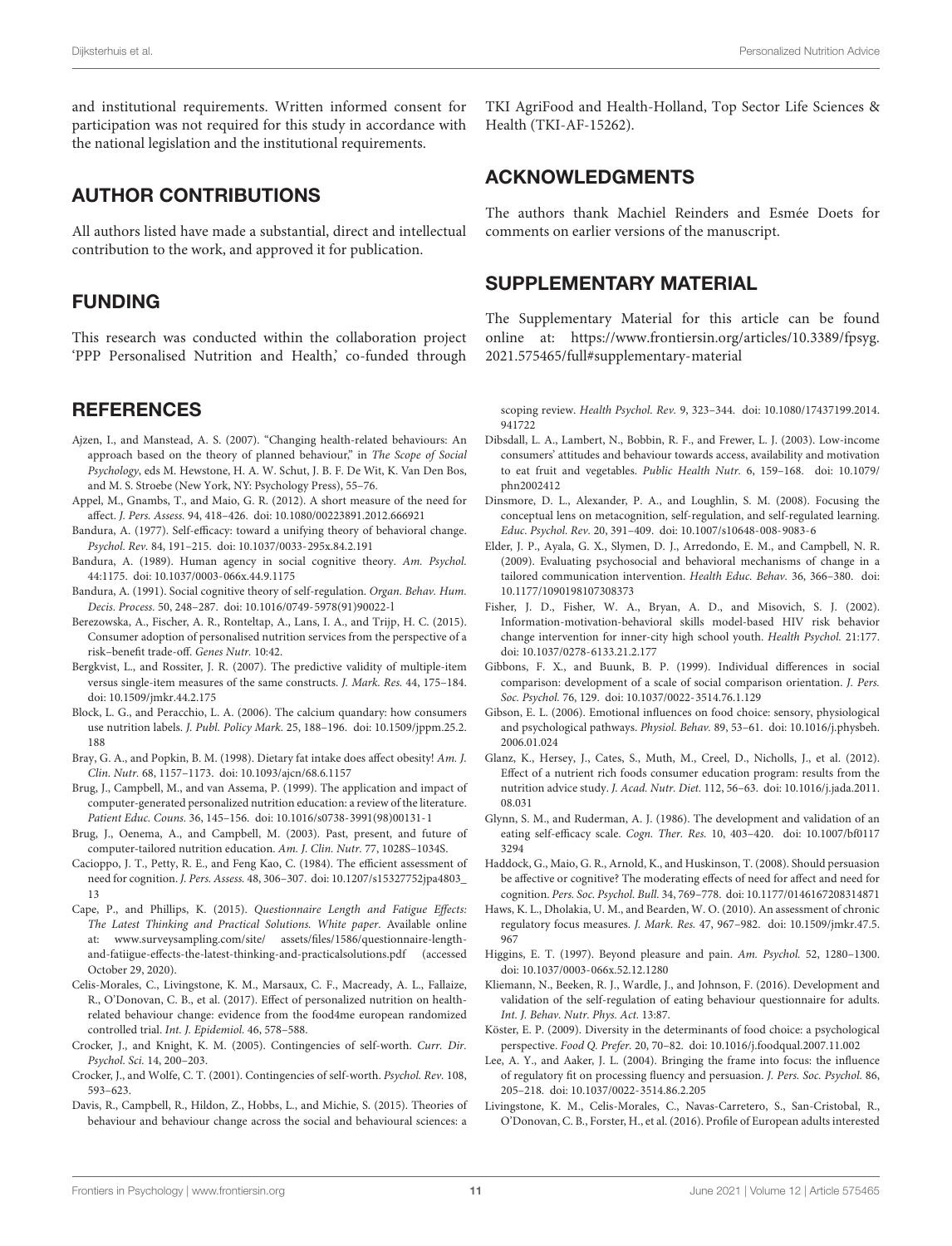and institutional requirements. Written informed consent for participation was not required for this study in accordance with the national legislation and the institutional requirements.

### AUTHOR CONTRIBUTIONS

All authors listed have made a substantial, direct and intellectual contribution to the work, and approved it for publication.

### FUNDING

This research was conducted within the collaboration project 'PPP Personalised Nutrition and Health,' co-funded through

### **REFERENCES**

- <span id="page-10-11"></span>Ajzen, I., and Manstead, A. S. (2007). "Changing health-related behaviours: An approach based on the theory of planned behaviour," in The Scope of Social Psychology, eds M. Hewstone, H. A. W. Schut, J. B. F. De Wit, K. Van Den Bos, and M. S. Stroebe (New York, NY: Psychology Press), 55–76.
- <span id="page-10-26"></span>Appel, M., Gnambs, T., and Maio, G. R. (2012). A short measure of the need for affect. J. Pers. Assess. 94, 418–426. [doi: 10.1080/00223891.2012.666921](https://doi.org/10.1080/00223891.2012.666921)
- <span id="page-10-15"></span>Bandura, A. (1977). Self-efficacy: toward a unifying theory of behavioral change. Psychol. Rev. 84, 191–215. [doi: 10.1037/0033-295x.84.2.191](https://doi.org/10.1037/0033-295x.84.2.191)
- <span id="page-10-12"></span>Bandura, A. (1989). Human agency in social cognitive theory. Am. Psychol. 44:1175. [doi: 10.1037/0003-066x.44.9.1175](https://doi.org/10.1037/0003-066x.44.9.1175)
- <span id="page-10-16"></span>Bandura, A. (1991). Social cognitive theory of self-regulation. Organ. Behav. Hum. Decis. Process. 50, 248–287. [doi: 10.1016/0749-5978\(91\)90022-l](https://doi.org/10.1016/0749-5978(91)90022-l)
- <span id="page-10-4"></span>Berezowska, A., Fischer, A. R., Ronteltap, A., Lans, I. A., and Trijp, H. C. (2015). Consumer adoption of personalised nutrition services from the perspective of a risk–benefit trade-off. Genes Nutr. 10:42.
- <span id="page-10-28"></span>Bergkvist, L., and Rossiter, J. R. (2007). The predictive validity of multiple-item versus single-item measures of the same constructs. J. Mark. Res. 44, 175–184. [doi: 10.1509/jmkr.44.2.175](https://doi.org/10.1509/jmkr.44.2.175)
- <span id="page-10-1"></span>Block, L. G., and Peracchio, L. A. (2006). The calcium quandary: how consumers use nutrition labels. J. Publ. Policy Mark. 25, 188–196. [doi: 10.1509/jppm.25.2.](https://doi.org/10.1509/jppm.25.2.188) [188](https://doi.org/10.1509/jppm.25.2.188)
- <span id="page-10-0"></span>Bray, G. A., and Popkin, B. M. (1998). Dietary fat intake does affect obesity! Am. J. Clin. Nutr. 68, 1157–1173. [doi: 10.1093/ajcn/68.6.1157](https://doi.org/10.1093/ajcn/68.6.1157)
- <span id="page-10-3"></span>Brug, J., Campbell, M., and van Assema, P. (1999). The application and impact of computer-generated personalized nutrition education: a review of the literature. Patient Educ. Couns. 36, 145–156. [doi: 10.1016/s0738-3991\(98\)00131-1](https://doi.org/10.1016/s0738-3991(98)00131-1)
- <span id="page-10-5"></span>Brug, J., Oenema, A., and Campbell, M. (2003). Past, present, and future of computer-tailored nutrition education. Am. J. Clin. Nutr. 77, 1028S–1034S.
- <span id="page-10-18"></span>Cacioppo, J. T., Petty, R. E., and Feng Kao, C. (1984). The efficient assessment of need for cognition. J. Pers. Assess. 48, 306–307. [doi: 10.1207/s15327752jpa4803\\_](https://doi.org/10.1207/s15327752jpa4803_13) [13](https://doi.org/10.1207/s15327752jpa4803_13)
- <span id="page-10-32"></span>Cape, P., and Phillips, K. (2015). Questionnaire Length and Fatigue Effects: The Latest Thinking and Practical Solutions. White paper. Available online at: [www.surveysampling.com/site/](http://www.surveysampling.com/site/) assets/files/1586/questionnaire-lengthand-fatiigue-effects-the-latest-thinking-and-practicalsolutions.pdf (accessed October 29, 2020).
- <span id="page-10-8"></span>Celis-Morales, C., Livingstone, K. M., Marsaux, C. F., Macready, A. L., Fallaize, R., O'Donovan, C. B., et al. (2017). Effect of personalized nutrition on healthrelated behaviour change: evidence from the food4me european randomized controlled trial. Int. J. Epidemiol. 46, 578–588.
- <span id="page-10-31"></span>Crocker, J., and Knight, K. M. (2005). Contingencies of self-worth. Curr. Dir. Psychol. Sci. 14, 200–203.
- <span id="page-10-30"></span>Crocker, J., and Wolfe, C. T. (2001). Contingencies of self-worth. Psychol. Rev. 108, 593–623.
- <span id="page-10-14"></span>Davis, R., Campbell, R., Hildon, Z., Hobbs, L., and Michie, S. (2015). Theories of behaviour and behaviour change across the social and behavioural sciences: a

TKI AgriFood and Health-Holland, Top Sector Life Sciences & Health (TKI-AF-15262).

## ACKNOWLEDGMENTS

The authors thank Machiel Reinders and Esmée Doets for comments on earlier versions of the manuscript.

### <span id="page-10-22"></span>SUPPLEMENTARY MATERIAL

The Supplementary Material for this article can be found online at: [https://www.frontiersin.org/articles/10.3389/fpsyg.](https://www.frontiersin.org/articles/10.3389/fpsyg.2021.575465/full#supplementary-material) [2021.575465/full#supplementary-material](https://www.frontiersin.org/articles/10.3389/fpsyg.2021.575465/full#supplementary-material)

scoping review. Health Psychol. Rev. 9, 323–344. [doi: 10.1080/17437199.2014.](https://doi.org/10.1080/17437199.2014.941722) [941722](https://doi.org/10.1080/17437199.2014.941722)

- <span id="page-10-17"></span>Dibsdall, L. A., Lambert, N., Bobbin, R. F., and Frewer, L. J. (2003). Low-income consumers' attitudes and behaviour towards access, availability and motivation to eat fruit and vegetables. Public Health Nutr. 6, 159–168. [doi: 10.1079/](https://doi.org/10.1079/phn2002412) [phn2002412](https://doi.org/10.1079/phn2002412)
- <span id="page-10-29"></span>Dinsmore, D. L., Alexander, P. A., and Loughlin, S. M. (2008). Focusing the conceptual lens on metacognition, self-regulation, and self-regulated learning. Educ. Psychol. Rev. 20, 391–409. [doi: 10.1007/s10648-008-9083-6](https://doi.org/10.1007/s10648-008-9083-6)
- <span id="page-10-6"></span>Elder, J. P., Ayala, G. X., Slymen, D. J., Arredondo, E. M., and Campbell, N. R. (2009). Evaluating psychosocial and behavioral mechanisms of change in a tailored communication intervention. Health Educ. Behav. 36, 366–380. [doi:](https://doi.org/10.1177/1090198107308373) [10.1177/1090198107308373](https://doi.org/10.1177/1090198107308373)
- <span id="page-10-13"></span>Fisher, J. D., Fisher, W. A., Bryan, A. D., and Misovich, S. J. (2002). Information-motivation-behavioral skills model-based HIV risk behavior change intervention for inner-city high school youth. Health Psychol. 21:177. [doi: 10.1037/0278-6133.21.2.177](https://doi.org/10.1037/0278-6133.21.2.177)
- <span id="page-10-25"></span>Gibbons, F. X., and Buunk, B. P. (1999). Individual differences in social comparison: development of a scale of social comparison orientation. J. Pers. Soc. Psychol. 76, 129. [doi: 10.1037/0022-3514.76.1.129](https://doi.org/10.1037/0022-3514.76.1.129)
- <span id="page-10-9"></span>Gibson, E. L. (2006). Emotional influences on food choice: sensory, physiological and psychological pathways. Physiol. Behav. 89, 53–61. [doi: 10.1016/j.physbeh.](https://doi.org/10.1016/j.physbeh.2006.01.024) [2006.01.024](https://doi.org/10.1016/j.physbeh.2006.01.024)
- <span id="page-10-2"></span>Glanz, K., Hersey, J., Cates, S., Muth, M., Creel, D., Nicholls, J., et al. (2012). Effect of a nutrient rich foods consumer education program: results from the nutrition advice study. J. Acad. Nutr. Diet. 112, 56–63. [doi: 10.1016/j.jada.2011.](https://doi.org/10.1016/j.jada.2011.08.031) [08.031](https://doi.org/10.1016/j.jada.2011.08.031)
- <span id="page-10-24"></span>Glynn, S. M., and Ruderman, A. J. (1986). The development and validation of an eating self-efficacy scale. Cogn. Ther. Res. 10, 403–420. [doi: 10.1007/bf0117](https://doi.org/10.1007/bf01173294) [3294](https://doi.org/10.1007/bf01173294)
- <span id="page-10-19"></span>Haddock, G., Maio, G. R., Arnold, K., and Huskinson, T. (2008). Should persuasion be affective or cognitive? The moderating effects of need for affect and need for cognition. Pers. Soc. Psychol. Bull. 34, 769–778. [doi: 10.1177/0146167208314871](https://doi.org/10.1177/0146167208314871)
- <span id="page-10-27"></span>Haws, K. L., Dholakia, U. M., and Bearden, W. O. (2010). An assessment of chronic regulatory focus measures. J. Mark. Res. 47, 967–982. [doi: 10.1509/jmkr.47.5.](https://doi.org/10.1509/jmkr.47.5.967) [967](https://doi.org/10.1509/jmkr.47.5.967)
- <span id="page-10-20"></span>Higgins, E. T. (1997). Beyond pleasure and pain. Am. Psychol. 52, 1280–1300. [doi: 10.1037/0003-066x.52.12.1280](https://doi.org/10.1037/0003-066x.52.12.1280)
- <span id="page-10-23"></span>Kliemann, N., Beeken, R. J., Wardle, J., and Johnson, F. (2016). Development and validation of the self-regulation of eating behaviour questionnaire for adults. Int. J. Behav. Nutr. Phys. Act. 13:87.
- <span id="page-10-10"></span>Köster, E. P. (2009). Diversity in the determinants of food choice: a psychological perspective. Food Q. Prefer. 20, 70–82. [doi: 10.1016/j.foodqual.2007.11.002](https://doi.org/10.1016/j.foodqual.2007.11.002)
- <span id="page-10-21"></span>Lee, A. Y., and Aaker, J. L. (2004). Bringing the frame into focus: the influence of regulatory fit on processing fluency and persuasion. J. Pers. Soc. Psychol. 86, 205–218. [doi: 10.1037/0022-3514.86.2.205](https://doi.org/10.1037/0022-3514.86.2.205)
- <span id="page-10-7"></span>Livingstone, K. M., Celis-Morales, C., Navas-Carretero, S., San-Cristobal, R., O'Donovan, C. B., Forster, H., et al. (2016). Profile of European adults interested